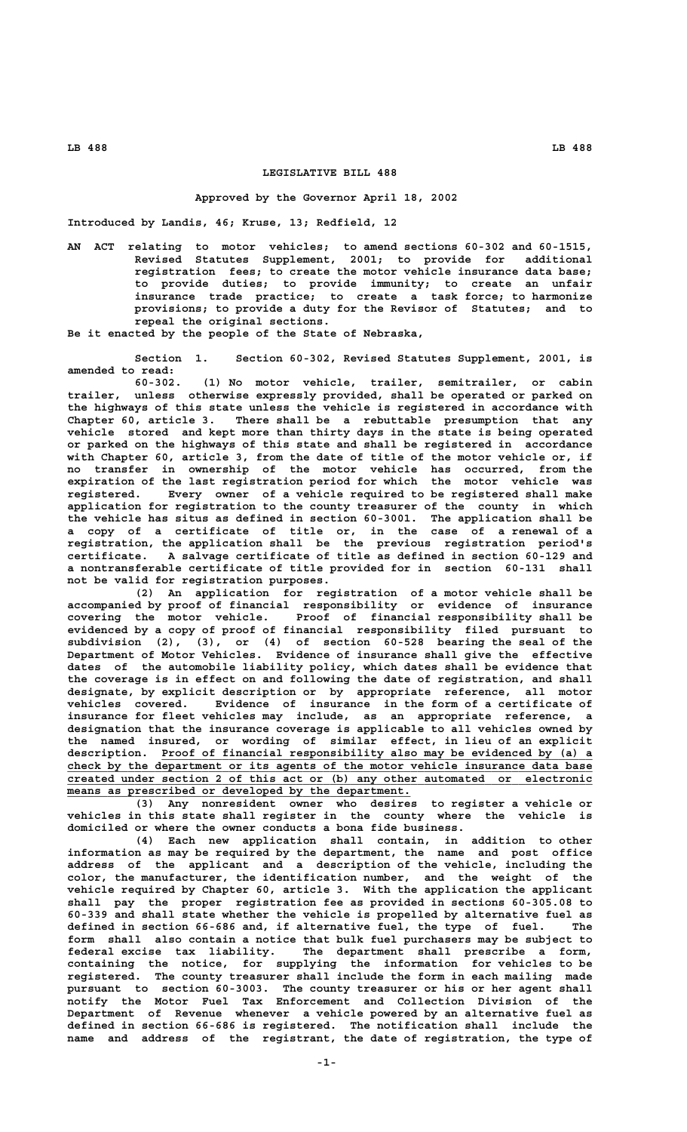## **LEGISLATIVE BILL 488**

## **Approved by the Governor April 18, 2002**

**Introduced by Landis, 46; Kruse, 13; Redfield, 12**

**AN ACT relating to motor vehicles; to amend sections 60-302 and 60-1515, Revised Statutes Supplement, 2001; to provide for additional registration fees; to create the motor vehicle insurance data base; to provide duties; to provide immunity; to create an unfair insurance trade practice; to create a task force; to harmonize provisions; to provide a duty for the Revisor of Statutes; and to repeal the original sections.**

**Be it enacted by the people of the State of Nebraska,**

**Section 1. Section 60-302, Revised Statutes Supplement, 2001, is amended to read:**

**60-302. (1) No motor vehicle, trailer, semitrailer, or cabin trailer, unless otherwise expressly provided, shall be operated or parked on the highways of this state unless the vehicle is registered in accordance with Chapter 60, article 3. There shall be a rebuttable presumption that any vehicle stored and kept more than thirty days in the state is being operated or parked on the highways of this state and shall be registered in accordance with Chapter 60, article 3, from the date of title of the motor vehicle or, if no transfer in ownership of the motor vehicle has occurred, from the expiration of the last registration period for which the motor vehicle was registered. Every owner of a vehicle required to be registered shall make application for registration to the county treasurer of the county in which the vehicle has situs as defined in section 60-3001. The application shall be a copy of a certificate of title or, in the case of a renewal of a registration, the application shall be the previous registration period's certificate. A salvage certificate of title as defined in section 60-129 and a nontransferable certificate of title provided for in section 60-131 shall not be valid for registration purposes.**

**(2) An application for registration of a motor vehicle shall be accompanied by proof of financial responsibility or evidence of insurance covering the motor vehicle. Proof of financial responsibility shall be evidenced by a copy of proof of financial responsibility filed pursuant to subdivision (2), (3), or (4) of section 60-528 bearing the seal of the Department of Motor Vehicles. Evidence of insurance shall give the effective dates of the automobile liability policy, which dates shall be evidence that the coverage is in effect on and following the date of registration, and shall designate, by explicit description or by appropriate reference, all motor vehicles covered. Evidence of insurance in the form of a certificate of insurance for fleet vehicles may include, as an appropriate reference, a designation that the insurance coverage is applicable to all vehicles owned by the named insured, or wording of similar effect, in lieu of an explicit \_\_\_\_\_\_\_\_\_\_\_\_\_\_\_\_\_\_\_\_\_\_\_\_\_\_\_\_\_\_\_\_\_\_\_\_\_\_\_\_\_\_\_\_\_\_\_\_\_\_\_\_\_\_\_\_\_\_\_\_\_\_\_\_ description. Proof of financial responsibility also may be evidenced by (a) a** check by the department or its agents of the motor vehicle insurance data base  **\_\_\_\_\_\_\_\_\_\_\_\_\_\_\_\_\_\_\_\_\_\_\_\_\_\_\_\_\_\_\_\_\_\_\_\_\_\_\_\_\_\_\_\_\_\_\_\_\_\_\_\_\_\_\_\_\_\_\_\_\_\_\_\_\_\_\_\_\_\_\_\_\_\_\_\_\_\_ created under section 2 of this act or (b) any other automated or electronic \_\_\_\_\_\_\_\_\_\_\_\_\_\_\_\_\_\_\_\_\_\_\_\_\_\_\_\_\_\_\_\_\_\_\_\_\_\_\_\_\_\_\_\_\_\_\_\_\_\_\_ means as prescribed or developed by the department.**

**(3) Any nonresident owner who desires to register a vehicle or vehicles in this state shall register in the county where the vehicle is domiciled or where the owner conducts a bona fide business.**

**(4) Each new application shall contain, in addition to other information as may be required by the department, the name and post office address of the applicant and a description of the vehicle, including the color, the manufacturer, the identification number, and the weight of the vehicle required by Chapter 60, article 3. With the application the applicant shall pay the proper registration fee as provided in sections 60-305.08 to 60-339 and shall state whether the vehicle is propelled by alternative fuel as defined in section 66-686 and, if alternative fuel, the type of fuel. The form shall also contain a notice that bulk fuel purchasers may be subject to federal excise tax liability. The department shall prescribe a form, containing the notice, for supplying the information for vehicles to be registered. The county treasurer shall include the form in each mailing made pursuant to section 60-3003. The county treasurer or his or her agent shall notify the Motor Fuel Tax Enforcement and Collection Division of the Department of Revenue whenever a vehicle powered by an alternative fuel as defined in section 66-686 is registered. The notification shall include the name and address of the registrant, the date of registration, the type of**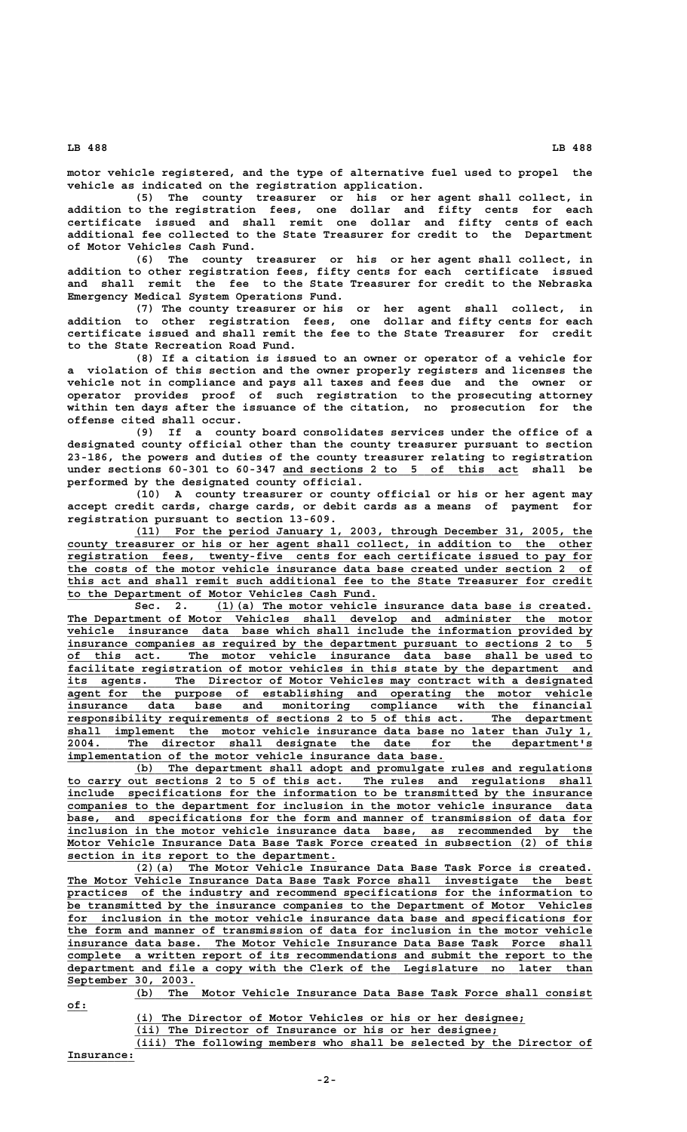**LB 488 LB 488**

 **of:\_\_\_**

**motor vehicle registered, and the type of alternative fuel used to propel the vehicle as indicated on the registration application.**

**(5) The county treasurer or his or her agent shall collect, in addition to the registration fees, one dollar and fifty cents for each certificate issued and shall remit one dollar and fifty cents of each additional fee collected to the State Treasurer for credit to the Department of Motor Vehicles Cash Fund.**

**(6) The county treasurer or his or her agent shall collect, in addition to other registration fees, fifty cents for each certificate issued and shall remit the fee to the State Treasurer for credit to the Nebraska Emergency Medical System Operations Fund.**

**(7) The county treasurer or his or her agent shall collect, in addition to other registration fees, one dollar and fifty cents for each certificate issued and shall remit the fee to the State Treasurer for credit to the State Recreation Road Fund.**

**(8) If a citation is issued to an owner or operator of a vehicle for a violation of this section and the owner properly registers and licenses the vehicle not in compliance and pays all taxes and fees due and the owner or operator provides proof of such registration to the prosecuting attorney within ten days after the issuance of the citation, no prosecution for the offense cited shall occur.**

**(9) If a county board consolidates services under the office of a designated county official other than the county treasurer pursuant to section 23-186, the powers and duties of the county treasurer relating to registration** under sections 60-301 to 60-347 and sections 2 to 5 of this act shall be **performed by the designated county official.**

**(10) A county treasurer or county official or his or her agent may accept credit cards, charge cards, or debit cards as a means of payment for registration pursuant to section 13-609.**

 **\_\_\_\_\_\_\_\_\_\_\_\_\_\_\_\_\_\_\_\_\_\_\_\_\_\_\_\_\_\_\_\_\_\_\_\_\_\_\_\_\_\_\_\_\_\_\_\_\_\_\_\_\_\_\_\_\_\_\_\_\_\_\_\_\_\_\_\_ (11) For the period January 1, 2003, through December 31, 2005, the \_\_\_\_\_\_\_\_\_\_\_\_\_\_\_\_\_\_\_\_\_\_\_\_\_\_\_\_\_\_\_\_\_\_\_\_\_\_\_\_\_\_\_\_\_\_\_\_\_\_\_\_\_\_\_\_\_\_\_\_\_\_\_\_\_\_\_\_\_\_\_\_\_\_\_\_\_\_ county treasurer or his or her agent shall collect, in addition to the other \_\_\_\_\_\_\_\_\_\_\_\_\_\_\_\_\_\_\_\_\_\_\_\_\_\_\_\_\_\_\_\_\_\_\_\_\_\_\_\_\_\_\_\_\_\_\_\_\_\_\_\_\_\_\_\_\_\_\_\_\_\_\_\_\_\_\_\_\_\_\_\_\_\_\_\_\_\_ registration fees, twenty-five cents for each certificate issued to pay for \_\_\_\_\_\_\_\_\_\_\_\_\_\_\_\_\_\_\_\_\_\_\_\_\_\_\_\_\_\_\_\_\_\_\_\_\_\_\_\_\_\_\_\_\_\_\_\_\_\_\_\_\_\_\_\_\_\_\_\_\_\_\_\_\_\_\_\_\_\_\_\_\_\_\_\_\_\_ the costs of the motor vehicle insurance data base created under section 2 of \_\_\_\_\_\_\_\_\_\_\_\_\_\_\_\_\_\_\_\_\_\_\_\_\_\_\_\_\_\_\_\_\_\_\_\_\_\_\_\_\_\_\_\_\_\_\_\_\_\_\_\_\_\_\_\_\_\_\_\_\_\_\_\_\_\_\_\_\_\_\_\_\_\_\_\_\_\_ this act and shall remit such additional fee to the State Treasurer for credit \_\_\_\_\_\_\_\_\_\_\_\_\_\_\_\_\_\_\_\_\_\_\_\_\_\_\_\_\_\_\_\_\_\_\_\_\_\_\_\_\_\_\_\_\_\_ to the Department of Motor Vehicles Cash Fund.**

Sec. 2. (1)(a) The motor vehicle insurance data base is created.  **\_\_\_\_\_\_\_\_\_\_\_\_\_\_\_\_\_\_\_\_\_\_\_\_\_\_\_\_\_\_\_\_\_\_\_\_\_\_\_\_\_\_\_\_\_\_\_\_\_\_\_\_\_\_\_\_\_\_\_\_\_\_\_\_\_\_\_\_\_\_\_\_\_\_\_\_\_\_ The Department of Motor Vehicles shall develop and administer the motor \_\_\_\_\_\_\_\_\_\_\_\_\_\_\_\_\_\_\_\_\_\_\_\_\_\_\_\_\_\_\_\_\_\_\_\_\_\_\_\_\_\_\_\_\_\_\_\_\_\_\_\_\_\_\_\_\_\_\_\_\_\_\_\_\_\_\_\_\_\_\_\_\_\_\_\_\_\_ vehicle insurance data base which shall include the information provided by \_\_\_\_\_\_\_\_\_\_\_\_\_\_\_\_\_\_\_\_\_\_\_\_\_\_\_\_\_\_\_\_\_\_\_\_\_\_\_\_\_\_\_\_\_\_\_\_\_\_\_\_\_\_\_\_\_\_\_\_\_\_\_\_\_\_\_\_\_\_\_\_\_\_\_\_\_\_ insurance companies as required by the department pursuant to sections 2 to 5 \_\_\_\_\_\_\_\_\_\_\_\_\_\_\_\_\_\_\_\_\_\_\_\_\_\_\_\_\_\_\_\_\_\_\_\_\_\_\_\_\_\_\_\_\_\_\_\_\_\_\_\_\_\_\_\_\_\_\_\_\_\_\_\_\_\_\_\_\_\_\_\_\_\_\_\_\_\_ of this act. The motor vehicle insurance data base shall be used to \_\_\_\_\_\_\_\_\_\_\_\_\_\_\_\_\_\_\_\_\_\_\_\_\_\_\_\_\_\_\_\_\_\_\_\_\_\_\_\_\_\_\_\_\_\_\_\_\_\_\_\_\_\_\_\_\_\_\_\_\_\_\_\_\_\_\_\_\_\_\_\_\_\_\_\_\_\_ facilitate registration of motor vehicles in this state by the department and \_\_\_\_\_\_\_\_\_\_\_\_\_\_\_\_\_\_\_\_\_\_\_\_\_\_\_\_\_\_\_\_\_\_\_\_\_\_\_\_\_\_\_\_\_\_\_\_\_\_\_\_\_\_\_\_\_\_\_\_\_\_\_\_\_\_\_\_\_\_\_\_\_\_\_\_\_\_ its agents. The Director of Motor Vehicles may contract with a designated \_\_\_\_\_\_\_\_\_\_\_\_\_\_\_\_\_\_\_\_\_\_\_\_\_\_\_\_\_\_\_\_\_\_\_\_\_\_\_\_\_\_\_\_\_\_\_\_\_\_\_\_\_\_\_\_\_\_\_\_\_\_\_\_\_\_\_\_\_\_\_\_\_\_\_\_\_\_ agent for the purpose of establishing and operating the motor vehicle \_\_\_\_\_\_\_\_\_\_\_\_\_\_\_\_\_\_\_\_\_\_\_\_\_\_\_\_\_\_\_\_\_\_\_\_\_\_\_\_\_\_\_\_\_\_\_\_\_\_\_\_\_\_\_\_\_\_\_\_\_\_\_\_\_\_\_\_\_\_\_\_\_\_\_\_\_\_ insurance data base and monitoring compliance with the financial \_\_\_\_\_\_\_\_\_\_\_\_\_\_\_\_\_\_\_\_\_\_\_\_\_\_\_\_\_\_\_\_\_\_\_\_\_\_\_\_\_\_\_\_\_\_\_\_\_\_\_\_\_\_\_\_\_\_\_\_\_\_\_\_\_\_\_\_\_\_\_\_\_\_\_\_\_\_ responsibility requirements of sections 2 to 5 of this act. The department \_\_\_\_\_\_\_\_\_\_\_\_\_\_\_\_\_\_\_\_\_\_\_\_\_\_\_\_\_\_\_\_\_\_\_\_\_\_\_\_\_\_\_\_\_\_\_\_\_\_\_\_\_\_\_\_\_\_\_\_\_\_\_\_\_\_\_\_\_\_\_\_\_\_\_\_\_\_ shall implement the motor vehicle insurance data base no later than July 1, \_\_\_\_\_\_\_\_\_\_\_\_\_\_\_\_\_\_\_\_\_\_\_\_\_\_\_\_\_\_\_\_\_\_\_\_\_\_\_\_\_\_\_\_\_\_\_\_\_\_\_\_\_\_\_\_\_\_\_\_\_\_\_\_\_\_\_\_\_\_\_\_\_\_\_\_\_\_ 2004. The director shall designate the date for the department's \_\_\_\_\_\_\_\_\_\_\_\_\_\_\_\_\_\_\_\_\_\_\_\_\_\_\_\_\_\_\_\_\_\_\_\_\_\_\_\_\_\_\_\_\_\_\_\_\_\_\_\_\_\_\_\_ implementation of the motor vehicle insurance data base.**

 **\_\_\_\_\_\_\_\_\_\_\_\_\_\_\_\_\_\_\_\_\_\_\_\_\_\_\_\_\_\_\_\_\_\_\_\_\_\_\_\_\_\_\_\_\_\_\_\_\_\_\_\_\_\_\_\_\_\_\_\_\_\_\_\_\_\_\_\_ (b) The department shall adopt and promulgate rules and regulations \_\_\_\_\_\_\_\_\_\_\_\_\_\_\_\_\_\_\_\_\_\_\_\_\_\_\_\_\_\_\_\_\_\_\_\_\_\_\_\_\_\_\_\_\_\_\_\_\_\_\_\_\_\_\_\_\_\_\_\_\_\_\_\_\_\_\_\_\_\_\_\_\_\_\_\_\_\_ to carry out sections 2 to 5 of this act. The rules and regulations shall \_\_\_\_\_\_\_\_\_\_\_\_\_\_\_\_\_\_\_\_\_\_\_\_\_\_\_\_\_\_\_\_\_\_\_\_\_\_\_\_\_\_\_\_\_\_\_\_\_\_\_\_\_\_\_\_\_\_\_\_\_\_\_\_\_\_\_\_\_\_\_\_\_\_\_\_\_\_ include specifications for the information to be transmitted by the insurance \_\_\_\_\_\_\_\_\_\_\_\_\_\_\_\_\_\_\_\_\_\_\_\_\_\_\_\_\_\_\_\_\_\_\_\_\_\_\_\_\_\_\_\_\_\_\_\_\_\_\_\_\_\_\_\_\_\_\_\_\_\_\_\_\_\_\_\_\_\_\_\_\_\_\_\_\_\_ companies to the department for inclusion in the motor vehicle insurance data** base, and specifications for the form and manner of transmission of data for  **\_\_\_\_\_\_\_\_\_\_\_\_\_\_\_\_\_\_\_\_\_\_\_\_\_\_\_\_\_\_\_\_\_\_\_\_\_\_\_\_\_\_\_\_\_\_\_\_\_\_\_\_\_\_\_\_\_\_\_\_\_\_\_\_\_\_\_\_\_\_\_\_\_\_\_\_\_\_ inclusion in the motor vehicle insurance data base, as recommended by the \_\_\_\_\_\_\_\_\_\_\_\_\_\_\_\_\_\_\_\_\_\_\_\_\_\_\_\_\_\_\_\_\_\_\_\_\_\_\_\_\_\_\_\_\_\_\_\_\_\_\_\_\_\_\_\_\_\_\_\_\_\_\_\_\_\_\_\_\_\_\_\_\_\_\_\_\_\_ Motor Vehicle Insurance Data Base Task Force created in subsection (2) of this \_\_\_\_\_\_\_\_\_\_\_\_\_\_\_\_\_\_\_\_\_\_\_\_\_\_\_\_\_\_\_\_\_\_\_\_\_\_\_\_ section in its report to the department.**

 **\_\_\_\_\_\_\_\_\_\_\_\_\_\_\_\_\_\_\_\_\_\_\_\_\_\_\_\_\_\_\_\_\_\_\_\_\_\_\_\_\_\_\_\_\_\_\_\_\_\_\_\_\_\_\_\_\_\_\_\_\_\_\_\_\_\_\_\_ (2)(a) The Motor Vehicle Insurance Data Base Task Force is created. \_\_\_\_\_\_\_\_\_\_\_\_\_\_\_\_\_\_\_\_\_\_\_\_\_\_\_\_\_\_\_\_\_\_\_\_\_\_\_\_\_\_\_\_\_\_\_\_\_\_\_\_\_\_\_\_\_\_\_\_\_\_\_\_\_\_\_\_\_\_\_\_\_\_\_\_\_\_ The Motor Vehicle Insurance Data Base Task Force shall investigate the best \_\_\_\_\_\_\_\_\_\_\_\_\_\_\_\_\_\_\_\_\_\_\_\_\_\_\_\_\_\_\_\_\_\_\_\_\_\_\_\_\_\_\_\_\_\_\_\_\_\_\_\_\_\_\_\_\_\_\_\_\_\_\_\_\_\_\_\_\_\_\_\_\_\_\_\_\_\_ practices of the industry and recommend specifications for the information to \_\_\_\_\_\_\_\_\_\_\_\_\_\_\_\_\_\_\_\_\_\_\_\_\_\_\_\_\_\_\_\_\_\_\_\_\_\_\_\_\_\_\_\_\_\_\_\_\_\_\_\_\_\_\_\_\_\_\_\_\_\_\_\_\_\_\_\_\_\_\_\_\_\_\_\_\_\_ be transmitted by the insurance companies to the Department of Motor Vehicles** for inclusion in the motor vehicle insurance data base and specifications for  **\_\_\_\_\_\_\_\_\_\_\_\_\_\_\_\_\_\_\_\_\_\_\_\_\_\_\_\_\_\_\_\_\_\_\_\_\_\_\_\_\_\_\_\_\_\_\_\_\_\_\_\_\_\_\_\_\_\_\_\_\_\_\_\_\_\_\_\_\_\_\_\_\_\_\_\_\_\_ the form and manner of transmission of data for inclusion in the motor vehicle \_\_\_\_\_\_\_\_\_\_\_\_\_\_\_\_\_\_\_\_\_\_\_\_\_\_\_\_\_\_\_\_\_\_\_\_\_\_\_\_\_\_\_\_\_\_\_\_\_\_\_\_\_\_\_\_\_\_\_\_\_\_\_\_\_\_\_\_\_\_\_\_\_\_\_\_\_\_ insurance data base. The Motor Vehicle Insurance Data Base Task Force shall \_\_\_\_\_\_\_\_\_\_\_\_\_\_\_\_\_\_\_\_\_\_\_\_\_\_\_\_\_\_\_\_\_\_\_\_\_\_\_\_\_\_\_\_\_\_\_\_\_\_\_\_\_\_\_\_\_\_\_\_\_\_\_\_\_\_\_\_\_\_\_\_\_\_\_\_\_\_ complete a written report of its recommendations and submit the report to the \_\_\_\_\_\_\_\_\_\_\_\_\_\_\_\_\_\_\_\_\_\_\_\_\_\_\_\_\_\_\_\_\_\_\_\_\_\_\_\_\_\_\_\_\_\_\_\_\_\_\_\_\_\_\_\_\_\_\_\_\_\_\_\_\_\_\_\_\_\_\_\_\_\_\_\_\_\_ department and file a copy with the Clerk of the Legislature no later than \_\_\_\_\_\_\_\_\_\_\_\_\_\_\_\_\_\_\_ September 30, 2003.**

 **\_\_\_\_\_\_\_\_\_\_\_\_\_\_\_\_\_\_\_\_\_\_\_\_\_\_\_\_\_\_\_\_\_\_\_\_\_\_\_\_\_\_\_\_\_\_\_\_\_\_\_\_\_\_\_\_\_\_\_\_\_\_\_\_\_\_\_\_ (b) The Motor Vehicle Insurance Data Base Task Force shall consist**

 **\_\_\_\_\_\_\_\_\_\_\_\_\_\_\_\_\_\_\_\_\_\_\_\_\_\_\_\_\_\_\_\_\_\_\_\_\_\_\_\_\_\_\_\_\_\_\_\_\_\_\_\_\_\_\_\_\_\_ (i) The Director of Motor Vehicles or his or her designee;**

 **\_\_\_\_\_\_\_\_\_\_\_\_\_\_\_\_\_\_\_\_\_\_\_\_\_\_\_\_\_\_\_\_\_\_\_\_\_\_\_\_\_\_\_\_\_\_\_\_\_\_\_\_\_\_ (ii) The Director of Insurance or his or her designee;**

 **\_\_\_\_\_\_\_\_\_\_\_\_\_\_\_\_\_\_\_\_\_\_\_\_\_\_\_\_\_\_\_\_\_\_\_\_\_\_\_\_\_\_\_\_\_\_\_\_\_\_\_\_\_\_\_\_\_\_\_\_\_\_\_\_\_\_\_\_ (iii) The following members who shall be selected by the Director of Insurance: \_\_\_\_\_\_\_\_\_\_**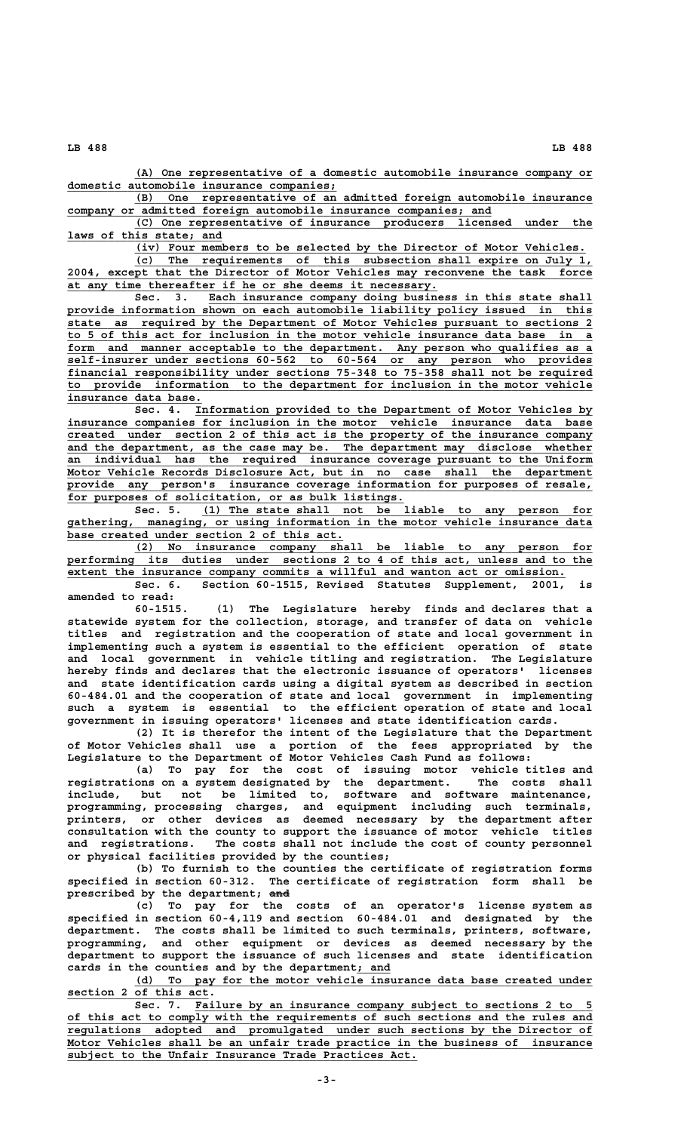**LB 488 LB 488**

 **\_\_\_\_\_\_\_\_\_\_\_\_\_\_\_\_\_\_\_\_\_\_\_\_\_\_\_\_\_\_\_\_\_\_\_\_\_\_\_\_\_\_\_\_\_\_\_\_\_\_\_\_\_\_\_\_\_\_\_\_\_\_\_\_\_\_\_\_ (A) One representative of a domestic automobile insurance company or \_\_\_\_\_\_\_\_\_\_\_\_\_\_\_\_\_\_\_\_\_\_\_\_\_\_\_\_\_\_\_\_\_\_\_\_\_\_\_\_ domestic automobile insurance companies;**

 **\_\_\_\_\_\_\_\_\_\_\_\_\_\_\_\_\_\_\_\_\_\_\_\_\_\_\_\_\_\_\_\_\_\_\_\_\_\_\_\_\_\_\_\_\_\_\_\_\_\_\_\_\_\_\_\_\_\_\_\_\_\_\_\_\_\_\_\_ (B) One representative of an admitted foreign automobile insurance \_\_\_\_\_\_\_\_\_\_\_\_\_\_\_\_\_\_\_\_\_\_\_\_\_\_\_\_\_\_\_\_\_\_\_\_\_\_\_\_\_\_\_\_\_\_\_\_\_\_\_\_\_\_\_\_\_\_\_\_\_\_\_ company or admitted foreign automobile insurance companies; and**

 **\_\_\_\_\_\_\_\_\_\_\_\_\_\_\_\_\_\_\_\_\_\_\_\_\_\_\_\_\_\_\_\_\_\_\_\_\_\_\_\_\_\_\_\_\_\_\_\_\_\_\_\_\_\_\_\_\_\_\_\_\_\_\_\_\_\_\_\_ (C) One representative of insurance producers licensed under the** laws of this state; and

 **\_\_\_\_\_\_\_\_\_\_\_\_\_\_\_\_\_\_\_\_\_\_\_\_\_\_\_\_\_\_\_\_\_\_\_\_\_\_\_\_\_\_\_\_\_\_\_\_\_\_\_\_\_\_\_\_\_\_\_\_\_\_\_\_\_\_\_ (iv) Four members to be selected by the Director of Motor Vehicles.**

 **\_\_\_\_\_\_\_\_\_\_\_\_\_\_\_\_\_\_\_\_\_\_\_\_\_\_\_\_\_\_\_\_\_\_\_\_\_\_\_\_\_\_\_\_\_\_\_\_\_\_\_\_\_\_\_\_\_\_\_\_\_\_\_\_\_\_\_\_ (c) The requirements of this subsection shall expire on July 1, \_\_\_\_\_\_\_\_\_\_\_\_\_\_\_\_\_\_\_\_\_\_\_\_\_\_\_\_\_\_\_\_\_\_\_\_\_\_\_\_\_\_\_\_\_\_\_\_\_\_\_\_\_\_\_\_\_\_\_\_\_\_\_\_\_\_\_\_\_\_\_\_\_\_\_\_\_\_ 2004, except that the Director of Motor Vehicles may reconvene the task force \_\_\_\_\_\_\_\_\_\_\_\_\_\_\_\_\_\_\_\_\_\_\_\_\_\_\_\_\_\_\_\_\_\_\_\_\_\_\_\_\_\_\_\_\_\_\_\_\_\_\_\_\_\_\_ at any time thereafter if he or she deems it necessary.**

 **\_\_\_\_\_\_\_\_\_\_\_\_\_\_\_\_\_\_\_\_\_\_\_\_\_\_\_\_\_\_\_\_\_\_\_\_\_\_\_\_\_\_\_\_\_\_\_\_\_\_\_\_\_\_\_\_\_ Sec. 3. Each insurance company doing business in this state shall** provide information shown on each automobile liability policy issued in this  **\_\_\_\_\_\_\_\_\_\_\_\_\_\_\_\_\_\_\_\_\_\_\_\_\_\_\_\_\_\_\_\_\_\_\_\_\_\_\_\_\_\_\_\_\_\_\_\_\_\_\_\_\_\_\_\_\_\_\_\_\_\_\_\_\_\_\_\_\_\_\_\_\_\_\_\_\_\_ state as required by the Department of Motor Vehicles pursuant to sections 2 \_\_\_\_\_\_\_\_\_\_\_\_\_\_\_\_\_\_\_\_\_\_\_\_\_\_\_\_\_\_\_\_\_\_\_\_\_\_\_\_\_\_\_\_\_\_\_\_\_\_\_\_\_\_\_\_\_\_\_\_\_\_\_\_\_\_\_\_\_\_\_\_\_\_\_\_\_\_ to 5 of this act for inclusion in the motor vehicle insurance data base in a** form and manner acceptable to the department. Any person who qualifies as a  **\_\_\_\_\_\_\_\_\_\_\_\_\_\_\_\_\_\_\_\_\_\_\_\_\_\_\_\_\_\_\_\_\_\_\_\_\_\_\_\_\_\_\_\_\_\_\_\_\_\_\_\_\_\_\_\_\_\_\_\_\_\_\_\_\_\_\_\_\_\_\_\_\_\_\_\_\_\_ self-insurer under sections 60-562 to 60-564 or any person who provides \_\_\_\_\_\_\_\_\_\_\_\_\_\_\_\_\_\_\_\_\_\_\_\_\_\_\_\_\_\_\_\_\_\_\_\_\_\_\_\_\_\_\_\_\_\_\_\_\_\_\_\_\_\_\_\_\_\_\_\_\_\_\_\_\_\_\_\_\_\_\_\_\_\_\_\_\_\_ financial responsibility under sections 75-348 to 75-358 shall not be required \_\_\_\_\_\_\_\_\_\_\_\_\_\_\_\_\_\_\_\_\_\_\_\_\_\_\_\_\_\_\_\_\_\_\_\_\_\_\_\_\_\_\_\_\_\_\_\_\_\_\_\_\_\_\_\_\_\_\_\_\_\_\_\_\_\_\_\_\_\_\_\_\_\_\_\_\_\_ to provide information to the department for inclusion in the motor vehicle \_\_\_\_\_\_\_\_\_\_\_\_\_\_\_\_\_\_\_\_ insurance data base.**

Sec. 4. Information provided to the Department of Motor Vehicles by  **\_\_\_\_\_\_\_\_\_\_\_\_\_\_\_\_\_\_\_\_\_\_\_\_\_\_\_\_\_\_\_\_\_\_\_\_\_\_\_\_\_\_\_\_\_\_\_\_\_\_\_\_\_\_\_\_\_\_\_\_\_\_\_\_\_\_\_\_\_\_\_\_\_\_\_\_\_\_ insurance companies for inclusion in the motor vehicle insurance data base \_\_\_\_\_\_\_\_\_\_\_\_\_\_\_\_\_\_\_\_\_\_\_\_\_\_\_\_\_\_\_\_\_\_\_\_\_\_\_\_\_\_\_\_\_\_\_\_\_\_\_\_\_\_\_\_\_\_\_\_\_\_\_\_\_\_\_\_\_\_\_\_\_\_\_\_\_\_ created under section 2 of this act is the property of the insurance company \_\_\_\_\_\_\_\_\_\_\_\_\_\_\_\_\_\_\_\_\_\_\_\_\_\_\_\_\_\_\_\_\_\_\_\_\_\_\_\_\_\_\_\_\_\_\_\_\_\_\_\_\_\_\_\_\_\_\_\_\_\_\_\_\_\_\_\_\_\_\_\_\_\_\_\_\_\_ and the department, as the case may be. The department may disclose whether \_\_\_\_\_\_\_\_\_\_\_\_\_\_\_\_\_\_\_\_\_\_\_\_\_\_\_\_\_\_\_\_\_\_\_\_\_\_\_\_\_\_\_\_\_\_\_\_\_\_\_\_\_\_\_\_\_\_\_\_\_\_\_\_\_\_\_\_\_\_\_\_\_\_\_\_\_\_ an individual has the required insurance coverage pursuant to the Uniform** Motor Vehicle Records Disclosure Act, but in no case shall the department  **\_\_\_\_\_\_\_\_\_\_\_\_\_\_\_\_\_\_\_\_\_\_\_\_\_\_\_\_\_\_\_\_\_\_\_\_\_\_\_\_\_\_\_\_\_\_\_\_\_\_\_\_\_\_\_\_\_\_\_\_\_\_\_\_\_\_\_\_\_\_\_\_\_\_\_\_\_\_ provide any person's insurance coverage information for purposes of resale, \_\_\_\_\_\_\_\_\_\_\_\_\_\_\_\_\_\_\_\_\_\_\_\_\_\_\_\_\_\_\_\_\_\_\_\_\_\_\_\_\_\_\_\_\_\_\_\_\_\_ for purposes of solicitation, or as bulk listings.**

 **\_\_\_\_\_\_\_\_\_\_\_\_\_\_\_\_\_\_\_\_\_\_\_\_\_\_\_\_\_\_\_\_\_\_\_\_\_\_\_\_\_\_\_\_\_\_\_\_\_\_\_\_\_\_\_\_\_\_ Sec. 5. (1) The state shall not be liable to any person for** gathering, managing, or using information in the motor vehicle insurance data base created under section 2 of this act.

 **\_\_\_\_\_\_\_\_\_\_\_\_\_\_\_\_\_\_\_\_\_\_\_\_\_\_\_\_\_\_\_\_\_\_\_\_\_\_\_\_\_\_\_\_\_\_\_\_\_\_\_\_\_\_\_\_\_\_\_\_\_\_\_\_\_\_\_\_ (2) No insurance company shall be liable to any person for \_\_\_\_\_\_\_\_\_\_\_\_\_\_\_\_\_\_\_\_\_\_\_\_\_\_\_\_\_\_\_\_\_\_\_\_\_\_\_\_\_\_\_\_\_\_\_\_\_\_\_\_\_\_\_\_\_\_\_\_\_\_\_\_\_\_\_\_\_\_\_\_\_\_\_\_\_\_ performing its duties under sections 2 to 4 of this act, unless and to the \_\_\_\_\_\_\_\_\_\_\_\_\_\_\_\_\_\_\_\_\_\_\_\_\_\_\_\_\_\_\_\_\_\_\_\_\_\_\_\_\_\_\_\_\_\_\_\_\_\_\_\_\_\_\_\_\_\_\_\_\_\_\_\_\_\_\_\_\_\_\_\_\_\_ extent the insurance company commits a willful and wanton act or omission.** Sec. 6. Section 60-1515, Revised Statutes Supplement, 2001,

**amended to read:**

**60-1515. (1) The Legislature hereby finds and declares that a statewide system for the collection, storage, and transfer of data on vehicle titles and registration and the cooperation of state and local government in implementing such a system is essential to the efficient operation of state and local government in vehicle titling and registration. The Legislature hereby finds and declares that the electronic issuance of operators' licenses and state identification cards using a digital system as described in section 60-484.01 and the cooperation of state and local government in implementing such a system is essential to the efficient operation of state and local government in issuing operators' licenses and state identification cards.**

**(2) It is therefor the intent of the Legislature that the Department of Motor Vehicles shall use a portion of the fees appropriated by the Legislature to the Department of Motor Vehicles Cash Fund as follows:**

**(a) To pay for the cost of issuing motor vehicle titles and registrations on a system designated by the department. The costs shall include, but not be limited to, software and software maintenance, programming, processing charges, and equipment including such terminals, printers, or other devices as deemed necessary by the department after consultation with the county to support the issuance of motor vehicle titles and registrations. The costs shall not include the cost of county personnel or physical facilities provided by the counties;**

**(b) To furnish to the counties the certificate of registration forms specified in section 60-312. The certificate of registration form shall be ——— prescribed by the department; and**

**(c) To pay for the costs of an operator's license system as specified in section 60-4,119 and section 60-484.01 and designated by the department. The costs shall be limited to such terminals, printers, software, programming, and other equipment or devices as deemed necessary by the department to support the issuance of such licenses and state identification** cards in the counties and by the department<sub>; and</sub>

 **\_\_\_\_\_\_\_\_\_\_\_\_\_\_\_\_\_\_\_\_\_\_\_\_\_\_\_\_\_\_\_\_\_\_\_\_\_\_\_\_\_\_\_\_\_\_\_\_\_\_\_\_\_\_\_\_\_\_\_\_\_\_\_\_\_\_\_\_ (d) To pay for the motor vehicle insurance data base created under \_\_\_\_\_\_\_\_\_\_\_\_\_\_\_\_\_\_\_\_\_ section 2 of this act.**

Sec. 7. Failure by an insurance company subject to sections 2 to 5  **\_\_\_\_\_\_\_\_\_\_\_\_\_\_\_\_\_\_\_\_\_\_\_\_\_\_\_\_\_\_\_\_\_\_\_\_\_\_\_\_\_\_\_\_\_\_\_\_\_\_\_\_\_\_\_\_\_\_\_\_\_\_\_\_\_\_\_\_\_\_\_\_\_\_\_\_\_\_ of this act to comply with the requirements of such sections and the rules and \_\_\_\_\_\_\_\_\_\_\_\_\_\_\_\_\_\_\_\_\_\_\_\_\_\_\_\_\_\_\_\_\_\_\_\_\_\_\_\_\_\_\_\_\_\_\_\_\_\_\_\_\_\_\_\_\_\_\_\_\_\_\_\_\_\_\_\_\_\_\_\_\_\_\_\_\_\_ regulations adopted and promulgated under such sections by the Director of** Motor Vehicles shall be an unfair trade practice in the business of insurance  **\_\_\_\_\_\_\_\_\_\_\_\_\_\_\_\_\_\_\_\_\_\_\_\_\_\_\_\_\_\_\_\_\_\_\_\_\_\_\_\_\_\_\_\_\_\_\_\_\_\_\_\_ subject to the Unfair Insurance Trade Practices Act.**